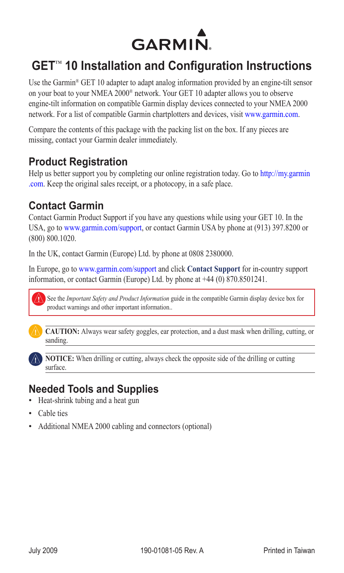

# **GET**™ **10 Installation and Configuration Instructions**

Use the Garmin® GET 10 adapter to adapt analog information provided by an engine-tilt sensor on your boat to your NMEA 2000® network. Your GET 10 adapter allows you to observe engine-tilt information on compatible Garmin display devices connected to your NMEA 2000 network. For a list of compatible Garmin chartplotters and devices, visit [www.garmin.com.](www.garmin.com)

Compare the contents of this package with the packing list on the box. If any pieces are missing, contact your Garmin dealer immediately.

## **Product Registration**

Help us better support you by completing our online registration today. Go to [http://my.garmin](http://my.garmin.com) [.com](http://my.garmin.com). Keep the original sales receipt, or a photocopy, in a safe place.

## **Contact Garmin**

Contact Garmin Product Support if you have any questions while using your GET 10. In the USA, go to www.garmin.com/support, or contact Garmin USA by phone at (913) 397.8200 or (800) 800.1020.

In the UK, contact Garmin (Europe) Ltd. by phone at 0808 2380000.

In Europe, go to www.garmin.com/support and click **Contact Support** for in-country support information, or contact Garmin (Europe) Ltd. by phone at +44 (0) 870.8501241.



See the *Important Safety and Product Information* guide in the compatible Garmin display device box for product warnings and other important information..



**caution:** Always wear safety goggles, ear protection, and a dust mask when drilling, cutting, or sanding.



**notice:** When drilling or cutting, always check the opposite side of the drilling or cutting surface.

# **Needed Tools and Supplies**

- Heat-shrink tubing and a heat gun
- Cable ties
- Additional NMEA 2000 cabling and connectors (optional)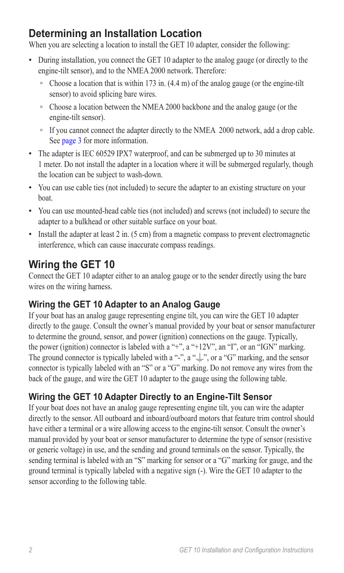# **Determining an Installation Location**

When you are selecting a location to install the GET 10 adapter, consider the following:

- During installation, you connect the GET 10 adapter to the analog gauge (or directly to the engine-tilt sensor), and to the NMEA 2000 network. Therefore:
	- Choose a location that is within 173 in. (4.4 m) of the analog gauge (or the engine-tilt sensor) to avoid splicing bare wires.
	- Choose a location between the NMEA 2000 backbone and the analog gauge (or the engine-tilt sensor).
	- If you cannot connect the adapter directly to the NMEA 2000 network, add a drop cable. See [page 3](#page-2-0) for more information.
- The adapter is IEC 60529 IPX7 waterproof, and can be submerged up to 30 minutes at 1 meter. Do not install the adapter in a location where it will be submerged regularly, though the location can be subject to wash-down.
- You can use cable ties (not included) to secure the adapter to an existing structure on your boat.
- You can use mounted-head cable ties (not included) and screws (not included) to secure the adapter to a bulkhead or other suitable surface on your boat.
- Install the adapter at least 2 in. (5 cm) from a magnetic compass to prevent electromagnetic interference, which can cause inaccurate compass readings.

# **Wiring the GET 10**

Connect the GET 10 adapter either to an analog gauge or to the sender directly using the bare wires on the wiring harness.

## **Wiring the GET 10 Adapter to an Analog Gauge**

If your boat has an analog gauge representing engine tilt, you can wire the GET 10 adapter directly to the gauge. Consult the owner's manual provided by your boat or sensor manufacturer to determine the ground, sensor, and power (ignition) connections on the gauge. Typically, the power (ignition) connector is labeled with a "+", a "+12V", an "I", or an "IGN" marking. The ground connector is typically labeled with a "-", a " $\equiv$ ", or a "G" marking, and the sensor connector is typically labeled with an "S" or a "G" marking. Do not remove any wires from the back of the gauge, and wire the GET 10 adapter to the gauge using the following table.

## **Wiring the GET 10 Adapter Directly to an Engine-Tilt Sensor**

If your boat does not have an analog gauge representing engine tilt, you can wire the adapter directly to the sensor. All outboard and inboard/outboard motors that feature trim control should have either a terminal or a wire allowing access to the engine-tilt sensor. Consult the owner's manual provided by your boat or sensor manufacturer to determine the type of sensor (resistive or generic voltage) in use, and the sending and ground terminals on the sensor. Typically, the sending terminal is labeled with an "S" marking for sensor or a "G" marking for gauge, and the ground terminal is typically labeled with a negative sign (-). Wire the GET 10 adapter to the sensor according to the following table.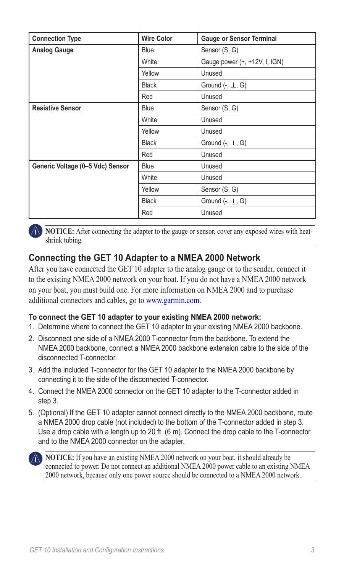| <b>Connection Type</b>           | <b>Wire Color</b> | <b>Gauge or Sensor Terminal</b>   |
|----------------------------------|-------------------|-----------------------------------|
| <b>Analog Gauge</b>              | <b>Blue</b>       | Sensor (S, G)                     |
|                                  | White             | Gauge power (+, +12V, I, IGN)     |
|                                  | Yellow            | Unused                            |
|                                  | <b>Black</b>      | Ground $(-, \perp, G)$            |
|                                  | Red               | Unused                            |
| <b>Resistive Sensor</b>          | <b>Blue</b>       | Sensor (S, G)                     |
|                                  | White             | Unused                            |
|                                  | Yellow            | Unused                            |
|                                  | <b>Black</b>      | Ground $\left(-, \perp, G\right)$ |
|                                  | Red               | Unused                            |
| Generic Voltage (0-5 Vdc) Sensor | <b>Blue</b>       | Unused                            |
|                                  | White             | Unused                            |
|                                  | Yellow            | Sensor (S, G)                     |
|                                  | <b>Black</b>      | Ground $(-, \perp, G)$            |
|                                  | Red               | Unused                            |

**NOTICE:** After connecting the adapter to the gauge or sensor, cover any exposed wires with heatshrink tubing.

### <span id="page-2-0"></span>**Connecting the GET 10 Adapter to a NMEA 2000 Network**

After you have connected the GET 10 adapter to the analog gauge or to the sender, connect it to the existing NMEA 2000 network on your boat. If you do not have a NMEA 2000 network on your boat, you must build one. For more information on NMEA 2000 and to purchase additional connectors and cables, go t[o www.garmin.com.](www.garmin.com/)

#### **To connect the GET 10 adapter to your existing NMEA 2000 network:**

- 1. Determine where to connect the GET 10 adapter to your existing NMEA 2000 backbone.
- 2. Disconnect one side of a NMEA 2000 T-connector from the backbone. To extend the NMEA 2000 backbone, connect a NMEA 2000 backbone extension cable to the side of the disconnected T-connector.
- 3. Add the included T-connector for the GET 10 adapter to the NMEA 2000 backbone by connecting it to the side of the disconnected T-connector.
- 4. Connect the NMEA 2000 connector on the GET 10 adapter to the T-connector added in step 3.
- 5. (Optional) If the GET 10 adapter cannot connect directly to the NMEA 2000 backbone, route a NMEA 2000 drop cable (not included) to the bottom of the T-connector added in step 3. Use a drop cable with a length up to 20 ft. (6 m). Connect the drop cable to the T-connector and to the NMEA 2000 connector on the adapter.



**NOTICE:** If you have an existing NMEA 2000 network on your boat, it should already be connected to power. Do not connect an additional NMEA 2000 power cable to an existing NMEA 2000 network, because only one power source should be connected to a NMEA 2000 network.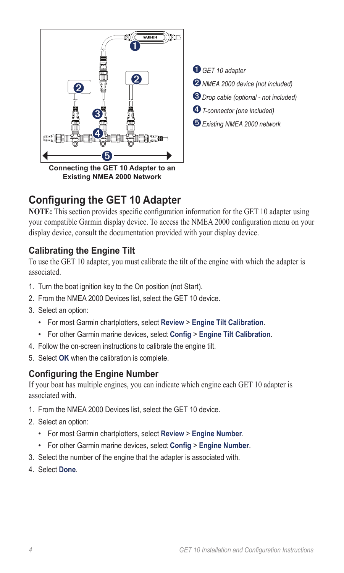

 *GET <sup>10</sup> adapter NMEA 2000 device (not included) Drop cable (optional - not included) T-connector (one included) Existing NMEA 2000 network*

# **Configuring the GET 10 Adapter**

**NOTE:** This section provides specific configuration information for the GET 10 adapter using your compatible Garmin display device. To access the NMEA 2000 configuration menu on your display device, consult the documentation provided with your display device.

## **Calibrating the Engine Tilt**

To use the GET 10 adapter, you must calibrate the tilt of the engine with which the adapter is associated.

- 1. Turn the boat ignition key to the On position (not Start).
- 2. From the NMEA 2000 Devices list, select the GET 10 device.
- 3. Select an option:
	- For most Garmin chartplotters, select **Review** > **Engine Tilt Calibration**. •
	- For other Garmin marine devices, select **Config** > **Engine Tilt Calibration**. •
- 4. Follow the on-screen instructions to calibrate the engine tilt.
- 5. Select **OK** when the calibration is complete.

### **Configuring the Engine Number**

If your boat has multiple engines, you can indicate which engine each GET 10 adapter is associated with.

- 1. From the NMEA 2000 Devices list, select the GET 10 device.
- 2. Select an option:
	- For most Garmin chartplotters, select **Review** > **Engine Number**. •
	- For other Garmin marine devices, select **Config** > **Engine Number**. •
- 3. Select the number of the engine that the adapter is associated with.
- 4. Select **Done**.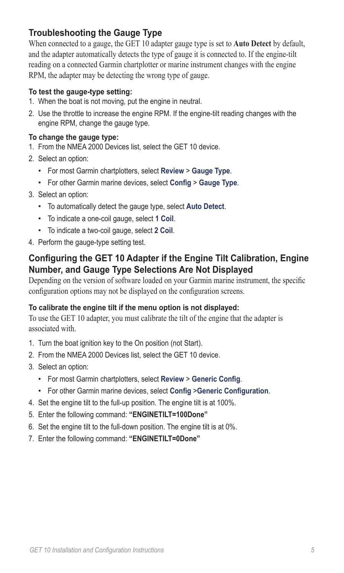## **Troubleshooting the Gauge Type**

When connected to a gauge, the GET 10 adapter gauge type is set to **Auto Detect** by default, and the adapter automatically detects the type of gauge it is connected to. If the engine-tilt reading on a connected Garmin chartplotter or marine instrument changes with the engine RPM, the adapter may be detecting the wrong type of gauge.

#### **To test the gauge-type setting:**

- 1. When the boat is not moving, put the engine in neutral.
- 2. Use the throttle to increase the engine RPM. If the engine-tilt reading changes with the engine RPM, change the gauge type.

#### **To change the gauge type:**

- 1. From the NMEA 2000 Devices list, select the GET 10 device.
- 2. Select an option:
	- For most Garmin chartplotters, select **Review** > **Gauge Type**. •
	- For other Garmin marine devices, select **Config** > **Gauge Type**. •
- 3. Select an option:
	- To automatically detect the gauge type, select **Auto Detect**. •
	- To indicate a one-coil gauge, select **1 Coil**. •
	- To indicate a two-coil gauge, select **2 Coil**. •
- 4. Perform the gauge-type setting test.

### **Configuring the GET 10 Adapter if the Engine Tilt Calibration, Engine Number, and Gauge Type Selections Are Not Displayed**

Depending on the version of software loaded on your Garmin marine instrument, the specific configuration options may not be displayed on the configuration screens.

#### **To calibrate the engine tilt if the menu option is not displayed:**

To use the GET 10 adapter, you must calibrate the tilt of the engine that the adapter is associated with.

- 1. Turn the boat ignition key to the On position (not Start).
- 2. From the NMEA 2000 Devices list, select the GET 10 device.
- 3. Select an option:
	- For most Garmin chartplotters, select **Review** > **Generic Config**. •
	- For other Garmin marine devices, select **Config** >**Generic Configuration**. •
- 4. Set the engine tilt to the full-up position. The engine tilt is at 100%.
- 5. Enter the following command: **"ENGINETILT=100Done"**
- 6. Set the engine tilt to the full-down position. The engine tilt is at 0%.
- 7. Enter the following command: **"ENGINETILT=0Done"**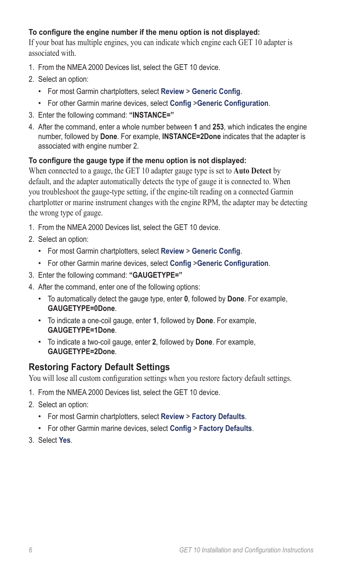#### **To configure the engine number if the menu option is not displayed:**

If your boat has multiple engines, you can indicate which engine each GET 10 adapter is associated with.

- 1. From the NMEA 2000 Devices list, select the GET 10 device.
- 2. Select an option:
	- For most Garmin chartplotters, select **Review** > **Generic Config**. •
	- For other Garmin marine devices, select **Config** >**Generic Configuration**. •
- 3. Enter the following command: **"INSTANCE="**
- 4. After the command, enter a whole number between **1** and **253**, which indicates the engine number, followed by **Done**. For example, **INSTANCE=2Done** indicates that the adapter is associated with engine number 2.

#### **To configure the gauge type if the menu option is not displayed:**

When connected to a gauge, the GET 10 adapter gauge type is set to **Auto Detect** by default, and the adapter automatically detects the type of gauge it is connected to. When you troubleshoot the gauge-type setting, if the engine-tilt reading on a connected Garmin chartplotter or marine instrument changes with the engine RPM, the adapter may be detecting the wrong type of gauge.

- 1. From the NMEA 2000 Devices list, select the GET 10 device.
- 2. Select an option:
	- For most Garmin chartplotters, select **Review** > **Generic Config**. •
	- For other Garmin marine devices, select **Config** >**Generic Configuration**. •
- 3. Enter the following command: **"GAUGETYPE="**
- 4. After the command, enter one of the following options:
	- To automatically detect the gauge type, enter **0**, followed by **Done**. For example, **GAUGETYPE=0Done**.
	- To indicate a one-coil gauge, enter **1**, followed by **Done**. For example, **GAUGETYPE=1Done**.
	- To indicate a two-coil gauge, enter **2**, followed by **Done**. For example, **GAUGETYPE=2Done**.

### **Restoring Factory Default Settings**

You will lose all custom configuration settings when you restore factory default settings.

- 1. From the NMEA 2000 Devices list, select the GET 10 device.
- 2. Select an option:
	- For most Garmin chartplotters, select **Review** > **Factory Defaults**. •
	- For other Garmin marine devices, select **Config** > **Factory Defaults**. •
- 3. Select **Yes**.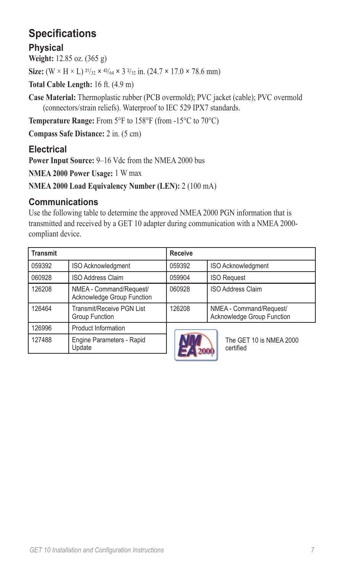# **Specifications**

### **Physical**

**Weight:** 12.85 oz. (365 g)

**Size:**  $(W \times H \times L)$   $\frac{31}{32} \times \frac{43}{64} \times 3\frac{3}{32}$  in.  $(24.7 \times 17.0 \times 78.6$  mm)

**Total Cable Length:** 16 ft. (4.9 m)

**Case Material:** Thermoplastic rubber (PCB overmold); PVC jacket (cable); PVC overmold (connectors/strain reliefs). Waterproof to IEC 529 IPX7 standards.

**Temperature Range:** From 5°F to 158°F (from -15°C to 70°C)

**Compass Safe Distance:** 2 in. (5 cm)

## **Electrical**

**Power Input Source:** 9–16 Vdc from the NMEA 2000 bus

**NMEA 2000 Power Usage:** 1 W max

**NMEA 2000 Load Equivalency Number (LEN):** 2 (100 mA)

### **Communications**

Use the following table to determine the approved NMEA 2000 PGN information that is transmitted and received by a GET 10 adapter during communication with a NMEA 2000 compliant device.

| <b>Transmit</b> |                                                       | <b>Receive</b> |                                                       |
|-----------------|-------------------------------------------------------|----------------|-------------------------------------------------------|
| 059392          | ISO Acknowledgment                                    | 059392         | ISO Acknowledgment                                    |
| 060928          | <b>ISO Address Claim</b>                              | 059904         | <b>ISO Request</b>                                    |
| 126208          | NMEA - Command/Request/<br>Acknowledge Group Function | 060928         | <b>ISO Address Claim</b>                              |
| 126464          | Transmit/Receive PGN List<br><b>Group Function</b>    | 126208         | NMEA - Command/Request/<br>Acknowledge Group Function |
| 126996          | <b>Product Information</b>                            |                |                                                       |
| 127488          | Engine Parameters - Rapid<br>Update                   |                | The GET 10 is NMEA 2000<br>certified                  |
|                 |                                                       |                |                                                       |